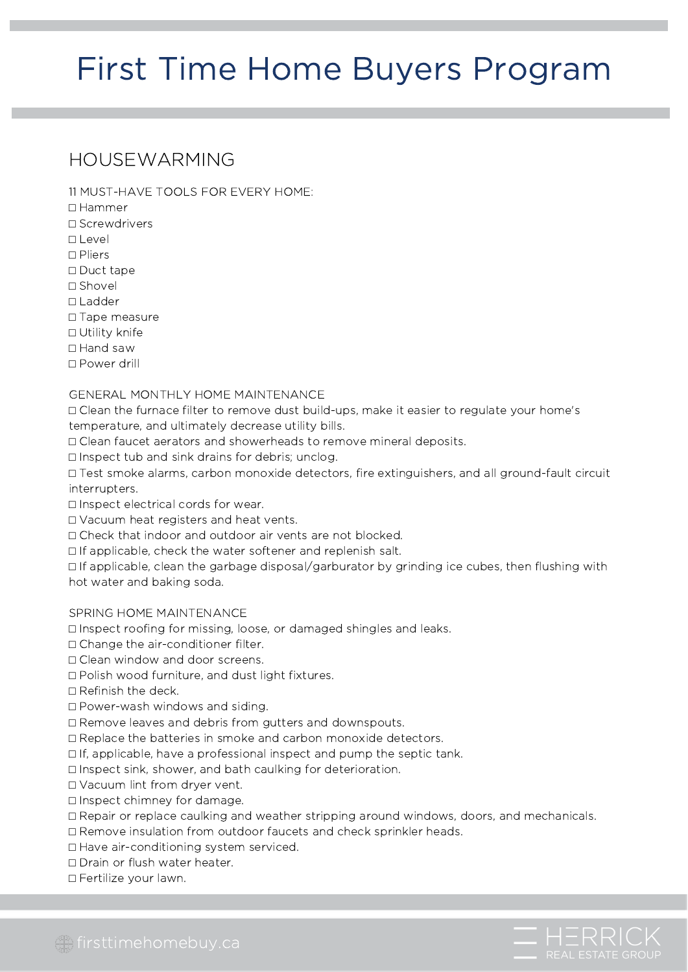# First Time Home Buyers Program

### HOUSEWARMING

11 MUST-HAVE TOOLS FOR EVERY HOME:

- ⬜ Hammer
- ⬜ Screwdrivers
- ⬜ Level
- ⬜ Pliers
- ⬜ Duct tape
- □ Shovel
- ⬜ Ladder
- □ Tape measure
- □ Utility knife
- □ Hand saw
- ⬜ Power drill

GENERAL MONTHLY HOME MAINTENANCE

⬜ Clean the furnace filter to remove dust build-ups, make it easier to regulate your home's temperature, and ultimately decrease utility bills.

□ Clean faucet aerators and showerheads to remove mineral deposits.

□ Inspect tub and sink drains for debris; unclog.

⬜ Test smoke alarms, carbon monoxide detectors, fire extinguishers, and all ground-fault circuit interrupters.

□ Inspect electrical cords for wear.

⬜ Vacuum heat registers and heat vents.

⬜ Check that indoor and outdoor air vents are not blocked.

□ If applicable, check the water softener and replenish salt.

⬜ If applicable, clean the garbage disposal/garburator by grinding ice cubes, then flushing with hot water and baking soda.

#### SPRING HOME MAINTENANCE

⬜ Inspect roofing for missing, loose, or damaged shingles and leaks.

□ Change the air-conditioner filter.

⬜ Clean window and door screens.

⬜ Polish wood furniture, and dust light fixtures.

□ Refinish the deck.

⬜ Power-wash windows and siding.

□ Remove leaves and debris from gutters and downspouts.

⬜ Replace the batteries in smoke and carbon monoxide detectors.

□ If, applicable, have a professional inspect and pump the septic tank.

⬜ Inspect sink, shower, and bath caulking for deterioration.

□ Vacuum lint from dryer vent.

□ Inspect chimney for damage.

⬜ Repair or replace caulking and weather stripping around windows, doors, and mechanicals.

□ Remove insulation from outdoor faucets and check sprinkler heads.

⬜ Have air-conditioning system serviced.

□ Drain or flush water heater.

⬜ Fertilize your lawn.